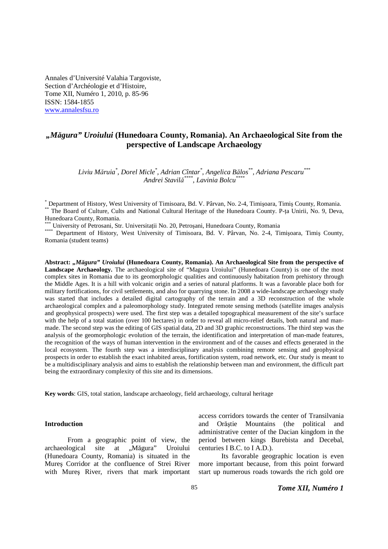Annales d'Université Valahia Targoviste, Section d'Archéologie et d'Histoire, Tome XII, Numéro 1, 2010, p. 85-96 ISSN: 1584-1855 www.annalesfsu.ro

# *"Măgura" Uroiului* **(Hunedoara County, Romania). An Archaeological Site from the perspective of Landscape Archaeology**

*Liviu Măruia\* , Dorel Micle\* , Adrian Cîntar\* , Angelica Bălos\*\*, Adriana Pescaru\*\*\* Andrei Stavilă \*\*\*\*, Lavinia Bolcu\*\*\*\**

\*\*\* University of Petrosani, Str. Universitaţii No. 20, Petroşani, Hunedoara County, Romania

\*\*\*\* Department of History, West University of Timisoara, Bd. V. Pârvan, No. 2-4, Timişoara, Timiş County, Romania (student teams)

**Abstract:** *"Măgura" Uroiului* **(Hunedoara County, Romania). An Archaeological Site from the perspective of Landscape Archaeology.** The archaeological site of "Magura Uroiului" (Hunedoara County) is one of the most complex sites in Romania due to its geomorphologic qualities and continuously habitation from prehistory through the Middle Ages. It is a hill with volcanic origin and a series of natural platforms. It was a favorable place both for military fortifications, for civil settlements, and also for quarrying stone. In 2008 a wide-landscape archaeology study was started that includes a detailed digital cartography of the terrain and a 3D reconstruction of the whole archaeological complex and a paleomorphology study. Integrated remote sensing methods (satellite images analysis and geophysical prospects) were used. The first step was a detailed topographical measurement of the site's surface with the help of a total station (over 100 hectares) in order to reveal all micro-relief details, both natural and manmade. The second step was the editing of GIS spatial data, 2D and 3D graphic reconstructions. The third step was the analysis of the geomorphologic evolution of the terrain, the identification and interpretation of man-made features, the recognition of the ways of human intervention in the environment and of the causes and effects generated in the local ecosystem. The fourth step was a interdisciplinary analysis combining remote sensing and geophysical prospects in order to establish the exact inhabited areas, fortification system, road network, etc. Our study is meant to be a multidisciplinary analysis and aims to establish the relationship between man and environment, the difficult part being the extraordinary complexity of this site and its dimensions.

**Key words**: GIS, total station, landscape archaeology, field archaeology, cultural heritage

### **Introduction**

From a geographic point of view, the archaeological site at "Măgura" Uroiului (Hunedoara County, Romania) is situated in the Mureş Corridor at the confluence of Strei River with Mures River, rivers that mark important

access corridors towards the center of Transilvania and Orăştie Mountains (the political and administrative center of the Dacian kingdom in the period between kings Burebista and Decebal, centuries I B.C. to I A.D.).

Its favorable geographic location is even more important because, from this point forward start up numerous roads towards the rich gold ore

<sup>\*</sup> Department of History, West University of Timisoara, Bd. V. Pârvan, No. 2-4, Timişoara, Timiş County, Romania. \*\* The Board of Culture, Cults and National Cultural Heritage of the Hunedoara County. P-ta Unirii, No. 9, Deva, Hunedoara County, Romania.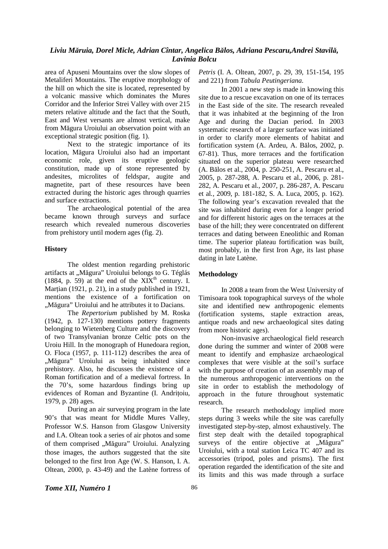area of Apuseni Mountains over the slow slopes of Metaliferi Mountains. The eruptive morphology of the hill on which the site is located, represented by a volcanic massive which dominates the Mures Corridor and the Inferior Strei Valley with over 215 meters relative altitude and the fact that the South, East and West versants are almost vertical, make from Măgura Uroiului an observation point with an exceptional strategic position (fig. 1).

Next to the strategic importance of its location, Măgura Uroiului also had an important economic role, given its eruptive geologic constitution, made up of stone represented by andesites, microlites of feldspar, augite and magnetite, part of these resources have been extracted during the historic ages through quarries and surface extractions.

The archaeological potential of the area became known through surveys and surface research which revealed numerous discoveries from prehistory until modern ages (fig. 2).

### **History**

The oldest mention regarding prehistoric artifacts at "Măgura" Uroiului belongs to G. Téglás (1884, p. 59) at the end of the  $XIX<sup>th</sup>$  century. I. Martian (1921, p. 21), in a study published in  $1921$ , mentions the existence of a fortification on "Măgura" Uroiului and he attributes it to Dacians.

The *Repertorium* published by M. Roska (1942, p. 127-130) mentions pottery fragments belonging to Wietenberg Culture and the discovery of two Transylvanian bronze Celtic pots on the Uroiu Hill. In the monograph of Hunedoara region, O. Floca (1957, p. 111-112) describes the area of "Măgura" Uroiului as being inhabited since prehistory. Also, he discusses the existence of a Roman fortification and of a medieval fortress. In the 70's, some hazardous findings bring up evidences of Roman and Byzantine (I. Andriţoiu, 1979, p. 28) ages.

During an air surveying program in the late 90's that was meant for Middle Mures Valley, Professor W.S. Hanson from Glasgow University and I.A. Oltean took a series of air photos and some of them comprised "Măgura" Uroiului. Analyzing those images, the authors suggested that the site belonged to the first Iron Age (W. S. Hanson, I. A. Oltean, 2000, p. 43-49) and the Latène fortress of

*Petris* (I. A. Oltean, 2007, p. 29, 39, 151-154, 195 and 221) from *Tabula Peutingeriana*.

In 2001 a new step is made in knowing this site due to a rescue excavation on one of its terraces in the East side of the site. The research revealed that it was inhabited at the beginning of the Iron Age and during the Dacian period. In 2003 systematic research of a larger surface was initiated in order to clarify more elements of habitat and fortification system (A. Ardeu, A. Bălos, 2002, p. 67-81). Thus, more terraces and the fortification situated on the superior plateau were researched (A. Bălos et al., 2004, p. 250-251, A. Pescaru et al., 2005, p. 287-288, A. Pescaru et al., 2006, p. 281- 282, A. Pescaru et al., 2007, p. 286-287, A. Pescaru et al*.*, 2009, p. 181-182, S. A. Luca, 2005, p. 162). The following year's excavation revealed that the site was inhabited during even for a longer period and for different historic ages on the terraces at the base of the hill; they were concentrated on different terraces and dating between Eneolithic and Roman time. The superior plateau fortification was built, most probably, in the first Iron Age, its last phase dating in late Latène.

#### **Methodology**

In 2008 a team from the West University of Timisoara took topographical surveys of the whole site and identified new anthropogenic elements (fortification systems, staple extraction areas, antique roads and new archaeological sites dating from more historic ages).

Non-invasive archaeological field research done during the summer and winter of 2008 were meant to identify and emphasize archaeological complexes that were visible at the soil's surface with the purpose of creation of an assembly map of the numerous anthropogenic interventions on the site in order to establish the methodology of approach in the future throughout systematic research.

The research methodology implied more steps during 3 weeks while the site was carefully investigated step-by-step, almost exhaustively. The first step dealt with the detailed topographical surveys of the entire objective at "Măgura" Uroiului, with a total station Leica TC 407 and its accessories (tripod, poles and prisms). The first operation regarded the identification of the site and its limits and this was made through a surface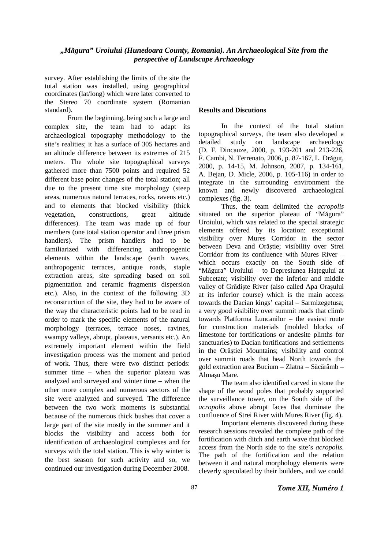survey. After establishing the limits of the site the total station was installed, using geographical coordinates (lat/long) which were later converted to the Stereo 70 coordinate system (Romanian standard).

From the beginning, being such a large and complex site, the team had to adapt its archaeological topography methodology to the site's realities; it has a surface of 305 hectares and an altitude difference between its extremes of 215 meters. The whole site topographical surveys gathered more than 7500 points and required 52 different base point changes of the total station; all due to the present time site morphology (steep areas, numerous natural terraces, rocks, ravens etc.) and to elements that blocked visibility (thick vegetation, constructions, great altitude differences). The team was made up of four members (one total station operator and three prism handlers). The prism handlers had to be familiarized with differencing anthropogenic elements within the landscape (earth waves, anthropogenic terraces, antique roads, staple extraction areas, site spreading based on soil pigmentation and ceramic fragments dispersion etc.). Also, in the context of the following 3D reconstruction of the site, they had to be aware of the way the characteristic points had to be read in order to mark the specific elements of the natural morphology (terraces, terrace noses, ravines, swampy valleys, abrupt, plateaus, versants etc.). An extremely important element within the field investigation process was the moment and period of work. Thus, there were two distinct periods: summer time – when the superior plateau was analyzed and surveyed and winter time – when the other more complex and numerous sectors of the site were analyzed and surveyed. The difference between the two work moments is substantial because of the numerous thick bushes that cover a large part of the site mostly in the summer and it blocks the visibility and access both for identification of archaeological complexes and for surveys with the total station. This is why winter is the best season for such activity and so, we continued our investigation during December 2008.

### **Results and Discutions**

In the context of the total station topographical surveys, the team also developed a detailed study on landscape archaeology (D. F. Dincauze, 2000, p. 193-201 and 213-226, F. Cambi*,* N. Terrenato, 2006, p. 87-167, L. Drăguţ, 2000, p. 14-15, M. Johnson, 2007, p. 134-161, A. Bejan, D. Micle, 2006, p. 105-116) in order to integrate in the surrounding environment the known and newly discovered archaeological complexes (fig. 3).

Thus, the team delimited the *acropolis* situated on the superior plateau of "Măgura" Uroiului, which was related to the special strategic elements offered by its location: exceptional visibility over Mures Corridor in the sector between Deva and Orăştie; visibility over Strei Corridor from its confluence with Mures River – which occurs exactly on the South side of "Măgura" Uroiului – to Depresiunea Haţegului at Subcetate; visibility over the inferior and middle valley of Grădişte River (also called Apa Oraşului at its inferior course) which is the main access towards the Dacian kings' capital – Sarmizegetusa; a very good visibility over summit roads that climb towards Platforma Luncanilor – the easiest route for construction materials (molded blocks of limestone for fortifications or andesite plinths for sanctuaries) to Dacian fortifications and settlements in the Orăştiei Mountains; visibility and control over summit roads that head North towards the gold extraction area Bucium – Zlatna – Săcărâmb – Almaşu Mare.

The team also identified carved in stone the shape of the wood poles that probably supported the surveillance tower, on the South side of the *acropolis* above abrupt faces that dominate the confluence of Strei River with Mures River (fig. 4).

Important elements discovered during these research sessions revealed the complete path of the fortification with ditch and earth wave that blocked access from the North side to the site's *acropolis*. The path of the fortification and the relation between it and natural morphology elements were cleverly speculated by their builders, and we could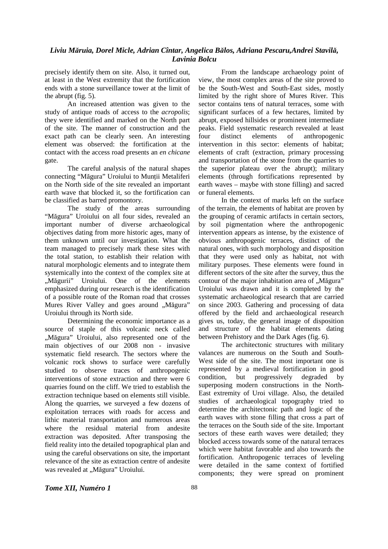precisely identify them on site. Also, it turned out, at least in the West extremity that the fortification ends with a stone surveillance tower at the limit of the abrupt (fig. 5).

An increased attention was given to the study of antique roads of access to the *acropolis*; they were identified and marked on the North part of the site. The manner of construction and the exact path can be clearly seen. An interesting element was observed: the fortification at the contact with the access road presents an *en chicane* gate.

The careful analysis of the natural shapes connecting "Măgura" Uroiului to Munţii Metaliferi on the North side of the site revealed an important earth wave that blocked it, so the fortification can be classified as barred promontory.

The study of the areas surrounding "Măgura" Uroiului on all four sides, revealed an important number of diverse archaeological objectives dating from more historic ages, many of them unknown until our investigation. What the team managed to precisely mark these sites with the total station, to establish their relation with natural morphologic elements and to integrate them systemically into the context of the complex site at "Măgurii" Uroiului. One of the elements emphasized during our research is the identification of a possible route of the Roman road that crosses Mures River Valley and goes around "Măgura" Uroiului through its North side.

Determining the economic importance as a source of staple of this volcanic neck called "Măgura" Uroiului, also represented one of the main objectives of our 2008 non - invasive systematic field research. The sectors where the volcanic rock shows to surface were carefully studied to observe traces of anthropogenic interventions of stone extraction and there were 6 quarries found on the cliff. We tried to establish the extraction technique based on elements still visible. Along the quarries, we surveyed a few dozens of exploitation terraces with roads for access and lithic material transportation and numerous areas where the residual material from andesite extraction was deposited. After transposing the field reality into the detailed topographical plan and using the careful observations on site, the important relevance of the site as extraction centre of andesite was revealed at "Măgura" Uroiului.

From the landscape archaeology point of view, the most complex areas of the site proved to be the South-West and South-East sides, mostly limited by the right shore of Mures River. This sector contains tens of natural terraces, some with significant surfaces of a few hectares, limited by abrupt, exposed hillsides or prominent intermediate peaks. Field systematic research revealed at least four distinct elements of anthropogenic intervention in this sector: elements of habitat; elements of craft (extraction, primary processing and transportation of the stone from the quarries to the superior plateau over the abrupt); military elements (through fortifications represented by earth waves – maybe with stone filling) and sacred or funeral elements.

In the context of marks left on the surface of the terrain, the elements of habitat are proven by the grouping of ceramic artifacts in certain sectors, by soil pigmentation where the anthropogenic intervention appears as intense, by the existence of obvious anthropogenic terraces, distinct of the natural ones, with such morphology and disposition that they were used only as habitat, not with military purposes. These elements were found in different sectors of the site after the survey, thus the contour of the major inhabitation area of "Măgura" Uroiului was drawn and it is completed by the systematic archaeological research that are carried on since 2003. Gathering and processing of data offered by the field and archaeological research gives us, today, the general image of disposition and structure of the habitat elements dating between Prehistory and the Dark Ages (fig. 6).

The architectonic structures with military valances are numerous on the South and South-West side of the site. The most important one is represented by a medieval fortification in good condition, but progressively degraded by superposing modern constructions in the North-East extremity of Uroi village. Also, the detailed studies of archaeological topography tried to determine the architectonic path and logic of the earth waves with stone filling that cross a part of the terraces on the South side of the site. Important sectors of these earth waves were detailed; they blocked access towards some of the natural terraces which were habitat favorable and also towards the fortification. Anthropogenic terraces of leveling were detailed in the same context of fortified components; they were spread on prominent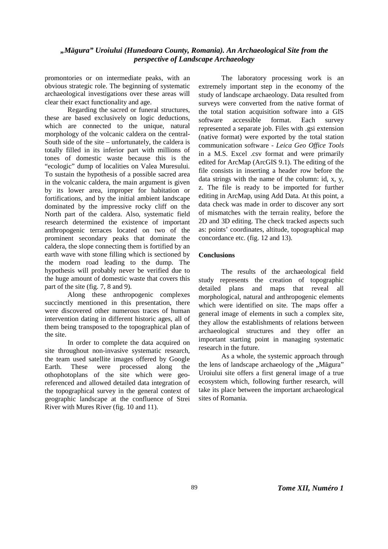## *"Măgura" Uroiului (Hunedoara County, Romania). An Archaeological Site from the perspective of Landscape Archaeology*

promontories or on intermediate peaks, with an obvious strategic role. The beginning of systematic archaeological investigations over these areas will clear their exact functionality and age.

Regarding the sacred or funeral structures, these are based exclusively on logic deductions, which are connected to the unique, natural morphology of the volcanic caldera on the central-South side of the site – unfortunately, the caldera is totally filled in its inferior part with millions of tones of domestic waste because this is the "ecologic" dump of localities on Valea Muresului. To sustain the hypothesis of a possible sacred area in the volcanic caldera, the main argument is given by its lower area, improper for habitation or fortifications, and by the initial ambient landscape dominated by the impressive rocky cliff on the North part of the caldera. Also, systematic field research determined the existence of important anthropogenic terraces located on two of the prominent secondary peaks that dominate the caldera, the slope connecting them is fortified by an earth wave with stone filling which is sectioned by the modern road leading to the dump. The hypothesis will probably never be verified due to the huge amount of domestic waste that covers this part of the site (fig. 7, 8 and 9).

Along these anthropogenic complexes succinctly mentioned in this presentation, there were discovered other numerous traces of human intervention dating in different historic ages, all of them being transposed to the topographical plan of the site.

In order to complete the data acquired on site throughout non-invasive systematic research, the team used satellite images offered by Google<br>Earth. These were processed along the Earth. These were processed along the othophotoplans of the site which were georeferenced and allowed detailed data integration of the topographical survey in the general context of geographic landscape at the confluence of Strei River with Mures River (fig. 10 and 11).

The laboratory processing work is an extremely important step in the economy of the study of landscape archaeology. Data resulted from surveys were converted from the native format of the total station acquisition software into a GIS software accessible format. Each survey represented a separate job. Files with .gsi extension (native format) were exported by the total station communication software - *Leica Geo Office Tools* in a M.S. Excel .csv format and were primarily edited for ArcMap (ArcGIS 9.1). The editing of the file consists in inserting a header row before the data strings with the name of the column: id, x, y, z. The file is ready to be imported for further editing in ArcMap, using Add Data. At this point, a data check was made in order to discover any sort of mismatches with the terrain reality, before the 2D and 3D editing. The check tracked aspects such as: points' coordinates, altitude, topographical map concordance etc. (fig. 12 and 13).

### **Conclusions**

The results of the archaeological field study represents the creation of topographic detailed plans and maps that reveal all morphological, natural and anthropogenic elements which were identified on site. The maps offer a general image of elements in such a complex site, they allow the establishments of relations between archaeological structures and they offer an important starting point in managing systematic research in the future.

As a whole, the systemic approach through the lens of landscape archaeology of the "Măgura" Uroiului site offers a first general image of a true ecosystem which, following further research, will take its place between the important archaeological sites of Romania.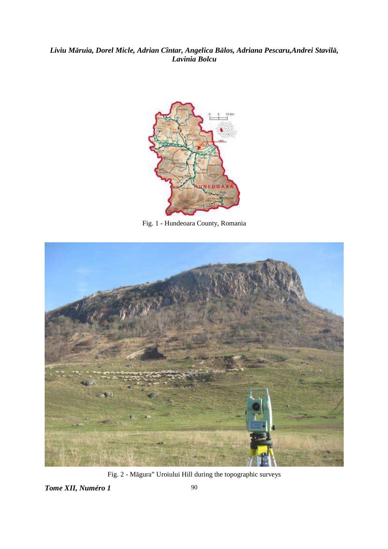

Fig. 1 - Hundeoara County, Romania



Fig. 2 - Măgura" Uroiului Hill during the topographic surveys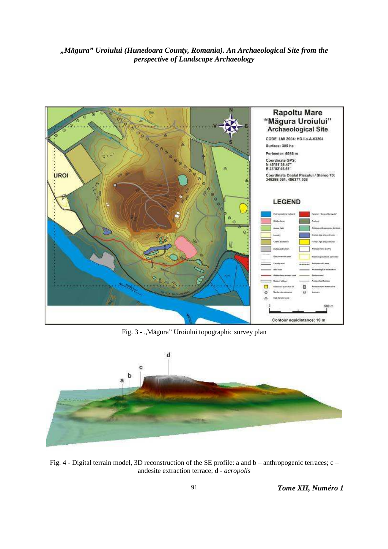



Fig. 3 - "Măgura" Uroiului topographic survey plan



Fig. 4 - Digital terrain model, 3D reconstruction of the SE profile: a and b – anthropogenic terraces; c – andesite extraction terrace; d - *acropolis*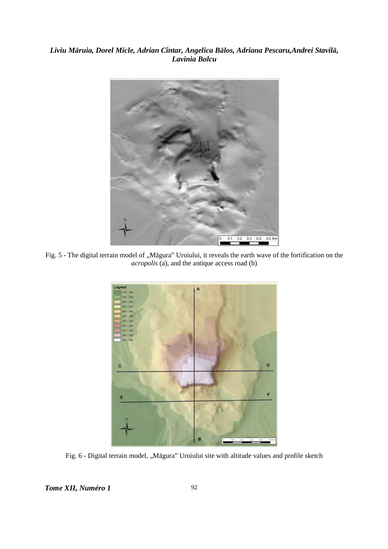

Fig. 5 - The digital terrain model of "Măgura" Uroiului, it reveals the earth wave of the fortification on the *acropolis* (a), and the antique access road (b)



Fig. 6 - Digital terrain model, "Măgura" Uroiului site with altitude values and profile sketch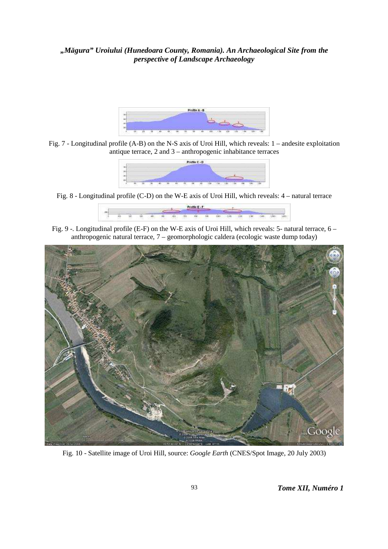# *"Măgura" Uroiului (Hunedoara County, Romania). An Archaeological Site from the perspective of Landscape Archaeology*



Fig. 7 - Longitudinal profile (A-B) on the N-S axis of Uroi Hill, which reveals: 1 – andesite exploitation antique terrace, 2 and 3 – anthropogenic inhabitance terraces



Fig. 8 - Longitudinal profile (C-D) on the W-E axis of Uroi Hill, which reveals: 4 – natural terrace



Fig. 9 -. Longitudinal profile (E-F) on the W-E axis of Uroi Hill, which reveals: 5- natural terrace, 6 – anthropogenic natural terrace, 7 – geomorphologic caldera (ecologic waste dump today)



Fig. 10 - Satellite image of Uroi Hill, source: *Google Earth* (CNES/Spot Image, 20 July 2003)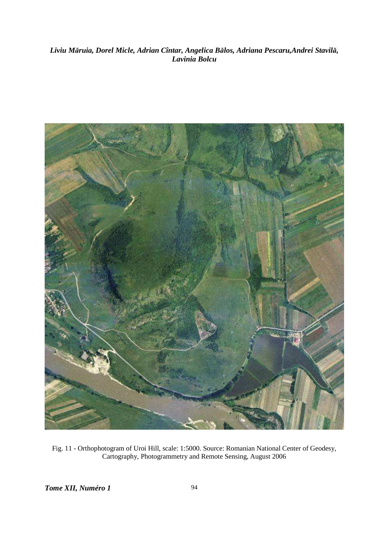

Fig. 11 - Orthophotogram of Uroi Hill, scale: 1:5000. Source: Romanian National Center of Geodesy, Cartography, Photogrammetry and Remote Sensing, August 2006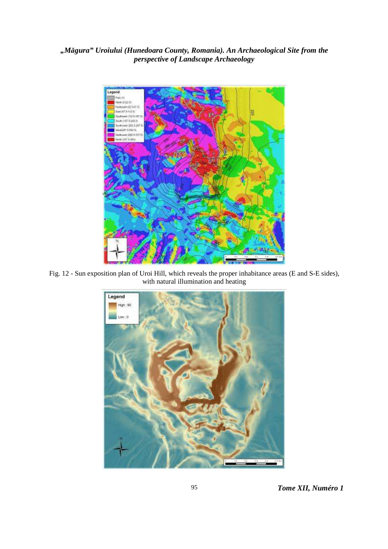# *"Măgura" Uroiului (Hunedoara County, Romania). An Archaeological Site from the perspective of Landscape Archaeology*



Fig. 12 - Sun exposition plan of Uroi Hill, which reveals the proper inhabitance areas (E and S-E sides), with natural illumination and heating